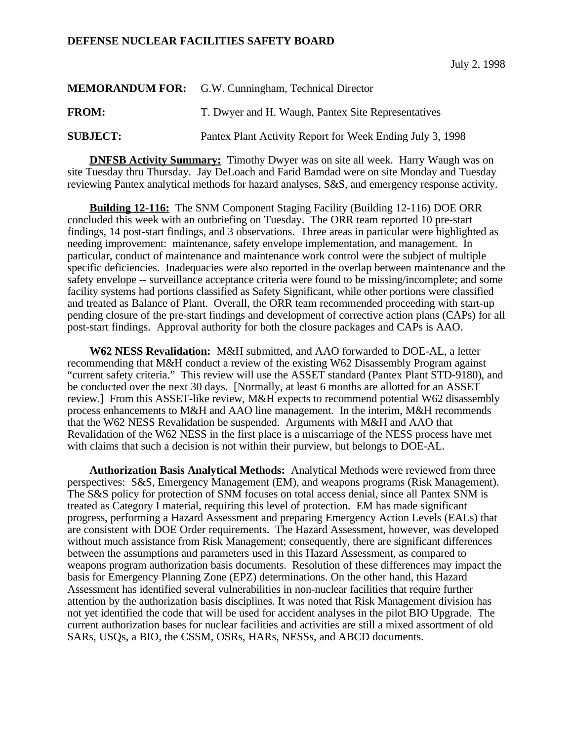## **DEFENSE NUCLEAR FACILITIES SAFETY BOARD**

|                 | <b>MEMORANDUM FOR:</b> G.W. Cunningham, Technical Director |
|-----------------|------------------------------------------------------------|
| <b>FROM:</b>    | T. Dwyer and H. Waugh, Pantex Site Representatives         |
| <b>SUBJECT:</b> | Pantex Plant Activity Report for Week Ending July 3, 1998  |

**DNFSB Activity Summary:** Timothy Dwyer was on site all week. Harry Waugh was on site Tuesday thru Thursday. Jay DeLoach and Farid Bamdad were on site Monday and Tuesday reviewing Pantex analytical methods for hazard analyses, S&S, and emergency response activity.

**Building 12-116:** The SNM Component Staging Facility (Building 12-116) DOE ORR concluded this week with an outbriefing on Tuesday. The ORR team reported 10 pre-start findings, 14 post-start findings, and 3 observations. Three areas in particular were highlighted as needing improvement: maintenance, safety envelope implementation, and management. In particular, conduct of maintenance and maintenance work control were the subject of multiple specific deficiencies. Inadequacies were also reported in the overlap between maintenance and the safety envelope -- surveillance acceptance criteria were found to be missing/incomplete; and some facility systems had portions classified as Safety Significant, while other portions were classified and treated as Balance of Plant. Overall, the ORR team recommended proceeding with start-up pending closure of the pre-start findings and development of corrective action plans (CAPs) for all post-start findings. Approval authority for both the closure packages and CAPs is AAO.

**W62 NESS Revalidation:** M&H submitted, and AAO forwarded to DOE-AL, a letter recommending that M&H conduct a review of the existing W62 Disassembly Program against "current safety criteria." This review will use the ASSET standard (Pantex Plant STD-9180), and be conducted over the next 30 days. [Normally, at least 6 months are allotted for an ASSET review.] From this ASSET-like review, M&H expects to recommend potential W62 disassembly process enhancements to M&H and AAO line management. In the interim, M&H recommends that the W62 NESS Revalidation be suspended. Arguments with M&H and AAO that Revalidation of the W62 NESS in the first place is a miscarriage of the NESS process have met with claims that such a decision is not within their purview, but belongs to DOE-AL.

**Authorization Basis Analytical Methods:** Analytical Methods were reviewed from three perspectives: S&S, Emergency Management (EM), and weapons programs (Risk Management). The S&S policy for protection of SNM focuses on total access denial, since all Pantex SNM is treated as Category I material, requiring this level of protection. EM has made significant progress, performing a Hazard Assessment and preparing Emergency Action Levels (EALs) that are consistent with DOE Order requirements. The Hazard Assessment, however, was developed without much assistance from Risk Management; consequently, there are significant differences between the assumptions and parameters used in this Hazard Assessment, as compared to weapons program authorization basis documents. Resolution of these differences may impact the basis for Emergency Planning Zone (EPZ) determinations. On the other hand, this Hazard Assessment has identified several vulnerabilities in non-nuclear facilities that require further attention by the authorization basis disciplines. It was noted that Risk Management division has not yet identified the code that will be used for accident analyses in the pilot BIO Upgrade. The current authorization bases for nuclear facilities and activities are still a mixed assortment of old SARs, USQs, a BIO, the CSSM, OSRs, HARs, NESSs, and ABCD documents.